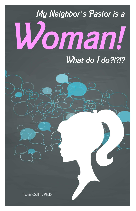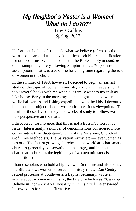## *My Neighbor*'*s Pastor is a Woman! What do I do?!?!?*

Travis Collins Spring, 2017

Unfortunately, lots of us decide what we believe (often based on what people around us believe) and then seek biblical justification for our positions. We tend to consult the Bible simply to *confirm* our assumptions, rarely allowing Scripture to *challenge* those assumptions. That was true of me for a long time regarding the role of women in the church.

In the summer of 1998, however, I decided to begin an earnest study of the topic of women in ministry and church leadership. I took several books with me when our family went to my in-laws' lake house. Early in the mornings, late at nights, and between wiffle ball games and fishing expeditions with the kids, I devoured books on the subject—books written from various viewpoints. The result of those days of study, and weeks of study to follow, was a new perspective on the matter.

I discovered, for instance, that this is not a liberal/conservative issue. Interestingly, a number of denominations considered more conservative than Baptists—Church of the Nazarene, Church of God, Free Methodists, The Salvation Army, etc.—have women as pastors. The fastest growing churches in the world are charismatic churches (generally conservative in theology), and in most charismatic churches the legitimacy of women ministers is unquestioned.

I found scholars who hold a high view of Scripture and also believe the Bible allows women to serve in ministry roles. Dan Gentry, retired professor at Southwestern Baptist Seminary, wrote an article about women in ministry, the title of which was, "Can you Believe in Inerrancy AND Equality?" In his article he answered his own question in the affirmative.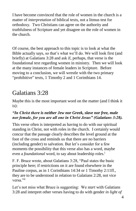I have become convinced that the role of women in the church is a matter of *interpretation* of biblical texts, not a litmus test for orthodoxy. Two Christians can agree on the authority and truthfulness of Scripture and yet disagree on the role of women in the church.

Of course, the best approach to this topic is to look at what the Bible actually says, so that's what we'll do. We will look first (and briefly) at Galatians 3:28 and ask if, perhaps, that verse is the foundational text regarding women in ministry. Then we will look at the many instances of female leaders in Scripture. Before moving to a conclusion, we will wrestle with the two primary "prohibitive" texts, 1 Timothy 2 and 1 Corinthians 14.

## Galatians 3:28

Maybe this is the most important word on the matter (and I think it is):

#### *"In Christ there is neither Jew nor Greek, slave nor free, male nor female, for you are all one in Christ Jesus" (Galatians 3:28).*

This verse often is interpreted as having to do with our spiritual standing in Christ, not with roles in the church. I certainly would concur that the passage clearly describes the level ground at the foot of the cross and reminds us that there are no barriers (including gender) to salvation. But let's consider for a few moments the possibility that this verse also has a word, maybe even a *foundational* word, to say about leadership roles.<sup>1</sup>

F. F. Bruce wrote, about Galatians 3:28, "Paul states the basic principle here; if restrictions on it are found elsewhere in the Pauline corpus, as in 1 Corinthians 14:34 or 1 Timothy 2:11ff., they are to be understood in relation to Galatians 2:28, not vice versa."<sup>ii</sup>

Let's not miss what Bruce is suggesting: We *start* with Galatians 3:28 and interpret other verses having to do with gender *in light of*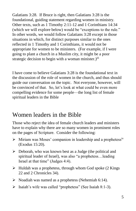Galatians 3:28. If Bruce is right, then Galatians 3:28 is the foundational, guiding statement regarding women in ministry. Other texts, such as 1 Timothy 2:11-12 and 1 Corinthians 14:34 (which we will explore below) would be "exceptions to the rule." In other words, we would follow Galatians 3:28 except in those situations in which, for distinct purposes similar to the ones reflected in 1 Timothy and 1 Corinthians, it would not be appropriate for women to be ministers. (For example, if I were going to plant a church in a Muslim city, it might be a poor strategic decision to begin with a woman minister.) $\mathbf{u}$ 

I have come to believe Galatians 3:28 is the foundational text in the discussion of the role of women in the church, and thus should guide our conversation on the topic. Not everyone, however, will be convinced of that. So, let's look at what could be even more compelling evidence for some people—the long list of female spiritual leaders in the Bible

## Women leaders in the Bible

Those who reject the idea of female church leaders and ministers have to explain why there are so many women in prominent roles on the pages of Scripture. Consider the following:

- $\triangleright$  Miriam was Moses' companion in leadership and a prophetess<sup>iv</sup> (Exodus 15:20).
- $\triangleright$  Deborah, who was known best as a Judge (the political and spiritual leader of Israel), was also "a prophetess…leading Israel at that time" (Judges 4:4).
- $\triangleright$  Huldah was a prophetess, through whom God spoke (2 Kings) 22 and 2 Chronicles 34).
- $\triangleright$  Noadiah was named as a prophetess (Nehemiah 6:14).
- $\triangleright$  Isaiah's wife was called "prophetess" (See Isaiah 8:1-3).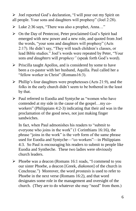Joel reported God's declaration, "I will pour out my Spirit on all people. Your sons and daughters will prophesy" (Joel 2:28).

- Luke 2:36 says, "There was also a prophet, Anna…"
- $\triangleright$  On the Day of Pentecost, Peter proclaimed God's Spirit had emerged with new power and a new role, and quoted from Joel the words, "your sons and daughters will prophesy" (Acts 2:17). He didn't say, "They will teach children's classes, or lead Bible studies." Joel's words were repeated by Peter, "Your sons *and daughters* will *prophesy"* (speak forth God's word).
- $\triangleright$  Priscilla taught Apollos, and is considered by some to have been a co-pastor with her husband, Aquilla. Paul called her a "fellow worker in Christ" (Romans16:3).
- $\triangleright$  Phillip's four daughters were prophetesses (Acts 21:9), and the folks in the early church didn't seem to be bothered in the least by that.
- $\triangleright$  Paul referred to Euodia and Syntyche as "women who have contended at my side in the cause of the gospel…my coworkers" (Philippians 4:2-3) indicating that their aid was in the proclamation of the good news, not just making finger sandwiches.

In fact, when Paul admonishes his readers to "submit to everyone who joins in the work" (1 Corinthians 16:16), the phrase "joins in the work" is the verb form of the same phrase used for Euodia and Syntyche—"co workers"—in Philippians 4:3. So Paul is encouraging his readers to submit to people like Euodia and Syntheche. These two ladies were obviously church leaders.

 $\triangleright$  Phoebe was a deacon (Romans 16:1 reads, "I commend to you our sister Phoebe, a deacon [Greek, *diakonon*] of the church in Cenchreae.") Moreover, the word *prostasis* is used to refer to Phoebe in the next verse (Romans 16:2), and that word designates some role in the management and oversight of the church. (They are to do whatever she may "need" from them.)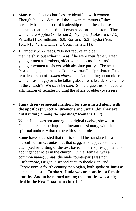- $\triangleright$  Many of the house churches are identified with women. Though the texts don't call these women "pastors," they certainly had some sort of leadership role in these house churches that perhaps didn't even have formal pastors. Those women are Apphia (Philemon 2), Nympha (Colossians 4:15), Priscilla (1 Corinthians 16:9; Romans 16:3), Lydia (Acts 16:14-15, 40 and Chloe (1 Corinthians 1:11).
- $\geq 1$  Timothy 5:1-2 reads, "Do not rebuke an older man harshly, but exhort him as if he were your father. Treat younger men as brothers, older women as mothers, and younger women as sisters, with absolute purity." The actual Greek language translated "older women" is "presbutera," the female version of *women elders*. Is Paul talking about older women (as in age) or is he talking about female elders (as a role in the church)? We can't be sure. Some argue this is indeed an affirmation of females holding the office of elder (overseers).

#### **Junia deserves special mention, for she is listed along with the apostles ("Greet Andronicus and Junia...for they are outstanding among the apostles," Romans 16:7).**

While Junia was not among the original twelve, she was a Christian leader, perhaps an itinerant missionary, with the spiritual authority that came with such a role.

Some have suggested that this is should be translated as a masculine name, Junias, but that suggestion appears to be an attempted re-writing of the text based on one's presuppositions about gender roles in the church.<sup>v</sup> Junia (female) was a common name; Junias (the male counterpart) was not. Furthermore, Origen, a second century theologian, and Chrysostom, a fourth century theologian, both spoke of Junia as a female apostle. **In short, Junia was an apostle—a female apostle. And to be named among the apostles was a big deal in the New Testament church.**vi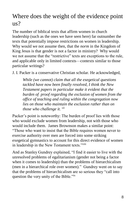## Where does the weight of the evidence point us?

The number of biblical texts that affirm women in church leadership (such as the ones we have seen here) far outnumber the texts that potentially impose restrictions on women in leadership. Why would we not assume then, that the *norm* in the Kingdom of King Jesus is that gender is not a factor in ministry? Why would we not assume that the "restrictive" texts are exceptions to the rule, and applicable only in limited contexts—contexts similar to those particular writings?

J. I. Packer is a conservative Christian scholar. He acknowledged,

*While (we cannot) claim that all the exegetical questions tackled have now been finally resolved, I think the New Testament papers in particular make it evident that the burden of proof regarding the exclusion of women from the office of teaching and ruling within the congregation now lies on those who maintain the exclusion rather than on those who challenge it. vii*

Packer's point is noteworthy: The burden of proof lies with those who would exclude women from leadership, not with those who would include them. James Brownson makes a similar point: "Those who want to insist that the Bible requires women never to exercise authority over men are forced into some striking exegetical gymnastics to account for this direct evidence of women in leadership in the New Testament texts."viii

And as Stanley Gundrey explained, "I find it easier to live with the unresolved problems of egalitarianism (gender not being a factor when it comes to leadership) than the problems of hierarchicalism (men in a hierarchical role over women)." Gundrey went on to say that the problems of hierarchicalism are so serious they "call into question the very unity of the Bible."ix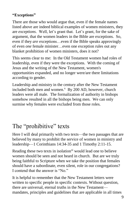#### **"Exceptions"**

There are those who would argue that, even if the female names listed above are indeed biblical examples of women ministers, they are *exceptions*. Well, let's grant that. Let's grant, for the sake of argument, that the women leaders in the Bible are exceptions. So, even if they *are* exceptions…even if the Bible speaks approvingly of even *one* female minister…even one exception rules out any blanket prohibition of women ministers, does it not?

This seems clear to me: In the Old Testament women had roles of leadership, even if they were the exceptions. With the coming of Jesus and the writing of the New Testament, women's opportunities expanded, and no longer were/are there limitations according to gender.

Leadership and ministry in the century after the New Testament included both men and women. $^x$  By 200 AD, however, church leaders were all male. The formalization of authority in bishops somehow resulted in all the bishops being men. We can only surmise why females were excluded from those roles.

## The "prohibitive" texts

Here I will deal primarily with two texts—the two passages that are believed by many to prohibit the service of women in ministry and leadership—1 Corinthians 14:34-35 and 1 Timothy 2:11-15.

Reading these two texts in isolation<sup>xi</sup> would lead one to believe women should be seen and not heard in church. But are we truly being faithful to Scripture when we take the position that females should have a subordinate, even silent, role in our congregations? I contend that the answer is "No."

It is helpful to remember that the New Testament letters were written to specific people in specific contexts. Without question, there are universal, eternal truths in the New Testament mandates, principles and guidelines that are applicable in all times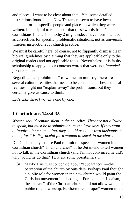and places. I want to be clear about that. Yet, some detailed instructions found in the New Testament seem to have been intended for the specific people and places to which they were written. It is helpful to remember that these words from 1 Corinthians 14 and 1 Timothy 2 might indeed have been intended as correctives for specific, problematic situations, not as universal, timeless instructions for church practice.

We must be careful here, of course, not to flippantly dismiss clear biblical guidelines by claiming that they are applicable only to the original readers and not applicable to us. Nevertheless, it is faulty scholarship to apply to our contexts words that were not *intended for* our contexts.

Regarding the "prohibitions" of women in ministry, there are several cultural realities that need to be considered. These cultural realities might not "explain away" the prohibitions, but they certainly give us cause to think.

Let's take these two texts one by one.

## **1 Corinthians 14:34-35**

*Women should remain silent in the churches. They are not allowed to speak, but must be in submission, as the Law says. If they want to inquire about something, they should ask their own husbands at home; for it is disgraceful for a woman to speak in the church.*

Did God actually inspire Paul to limit the speech of women in the Corinthian church? In all churches? If he *did* intend to tell women not to talk in the Corinthian church (and I'm not convinced he did), why would he do that? Here are some possibilities…

 Maybe Paul was concerned about "appearances"—the perception of the church by outsiders. Perhaps Paul thought a public role for women in the new church would paint the Christian movement in a bad light. For example, Judaism, the "parent" of the Christian church, did not allow women a public role in worship. Furthermore, "proper" women in the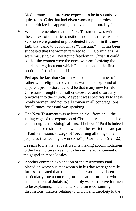Mediterranean culture were expected to be in submissive, quiet roles. Cults that had given women public roles had been criticized as appearing to advocate immorality.<sup>xii</sup>

 $\triangleright$  We must remember that the New Testament was written in the context of dramatic transition and unchartered waters. Women were granted unprecedented freedom in this new faith that came to be known as "Christian." xiii It has been suggested that the women referred to in 1 Corinthians 14 were misusing their newfound freedom in Christ. It could be that the women were the ones over-emphasizing the charismatic gifts about which Paul cautions in the first section of 1 Corinthians 14.

Perhaps the fact that Corinth was home to a number of rather wild religious movements was the background of this apparent prohibition. It could be that many new female Christians brought their rather excessive and disorderly practices into the church. Maybe it was specifically to these rowdy women, and not to all women in all congregations for all times, that Paul was speaking.

 The New Testament was written on the "frontier"—the cutting edge of the expansion of Christianity, and should be read through a missiological lens. I believe if Paul is indeed placing these restrictions on women, the restrictions are part of Paul's missions strategy of "becoming all things to all people so that we might win some" (1 Corinthians 9:20-22).

It seems to me that, at best, Paul is making accommodations to the local culture so as not to hinder the advancement of the gospel in those locales.

 $\triangleright$  Another common explanation of the restrictions Paul placed on women is that women in his day were generally far less educated than the men. (This would have been particularly true about religious education for those who had come out of Judaism.) It simply was disruptive for men to be explaining, in elementary and time-consuming discussions, matters relating to church and theology to the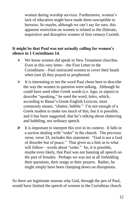women during worship services. Furthermore, women's lack of education might have made them susceptible to heresies. So maybe, although we can't say for sure, this apparent restriction on women is related to the illiterate, inquisitive and disruptive women of first century Corinth.

#### **It might be that Paul was not actually calling for women's silence in 1 Corinthians 14.**

- We know women *did* speak in New Testament churches. Even in this very letter—the First Letter to the Corinthians—Paul instructed women to cover their heads *when* (not *if*) they prayed or prophesied.
- $\triangleright$  It is interesting to see the word Paul chose here to describe the way the women in question were talking. Although he could have used other Greek words (i.e. *lego*, or *aipon*) to describe "speaking," he used the word, *laleo*, which, according to Bauer's Greek-English Lexicon, most commonly means, "chatter, babble." I'm not enough of a Greek student to make too much of this, but it is possible, and it has been suggested, that he's talking about chattering and babbling, not ordinary speech.
- $\triangleright$  It is important to interpret this text in its context. It falls in a section dealing with "order" in the church. The previous verse, verse 33, includes this statement: "God is not a God of disorder but of peace." That gives us a hint as to what will follow—words about "order." So, it is possible, maybe even likely, that Paul was not banning all speech on the part of females. Perhaps we was not at all forbidding their questions, their songs or their prayers. Rather, he might simply have been clamping down on disruptions.

So there are legitimate reasons why God, through the pen of Paul, would have limited the speech of women in the Corinthian church.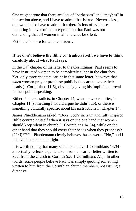One might argue that there are lots of "perhapses" and "maybes" in the section above, and I have to admit that is true. Nevertheless, one would also have to admit that there is lots of evidence mounting in favor of the interpretation that Paul was not demanding that all women in all churches be silent.

Yet there is more for us to consider…

#### **If we don't believe the Bible contradicts itself, we have to think carefully about what Paul says.**

In the  $14<sup>th</sup>$  chapter of his letter to the Corinthians, Paul seems to have instructed women to be completely silent in the churches. Yet, only three chapters earlier in that same letter, he wrote that *when* women pray or prophesy publicly they are to cover their heads (1 Corinthians 11:5), obviously giving his implicit approval to their public speaking.

Either Paul contradicts, in Chapter 14, what he wrote earlier, in Chapter 11 (something I would argue he didn't do), or there is something culturally specific about his instructions in Chapter 14.

James Plueddemann asked, "Does God's inerrant and fully inspired Bible contradict itself when it says on the one hand that women should keep silent in church (1 Corinthians 14:34), while on the other hand that they should cover their heads when they prophesy?  $(11:5)$ ?"<sup>xiv</sup> Pluedemann clearly believes the answer is "No," and I believe Pluedemann is right.

It is worth noting that many scholars believe 1 Corinthians 14:34- 35 actually reflects a quote taken from an earlier letter written to Paul from the church in Corinth (see 1 Corinthians 7:1). In other words, some people believe Paul was simply quoting something written to him from the Corinthian church members, not issuing a directive.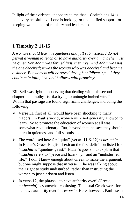In light of the evidence, it appears to me that 1 Corinthians 14 is not a very helpful text if one is looking for unqualified support for keeping women out of ministry and leadership.

### **1 Timothy 2:11-15**

*A woman should learn in quietness and full submission. I do not permit a woman to teach or to have authority over a man; she must be quiet. For Adam was formed first, then Eve. And Adam was not the one deceived; it was the woman who was deceived and became a sinner. But women] will be saved through childbearing—if they continue in faith, love and holiness with propriety.*

Bill Self was right in observing that dealing with this second chapter of Timothy "is like trying to untangle barbed wire." Within that passage are found significant challenges, including the following:

- $\triangleright$  Verse 11, first of all, would have been shocking to many readers. In Paul's world, women were not generally allowed to learn. So to promote the education of women at all was somewhat revolutionary. But, beyond that, he says they should learn in quietness and full submission.
- The word used here for "quiet" (verses 11 & 12) is *hesuchia*. In Bauer's Greek-English Lexicon the first definition listed for *hesuchia* is "quietness, rest." Bauer's goes on to explain that *hesuchia* refers to "peace and harmony," and an "undisturbed life." I don't know enough about Greek to make the argument, but one might suppose that in verse 11 he was talking about their right to study undisturbed, rather than instructing the women to just sit down and listen.
- $\triangleright$  In verse 12, the phrase, "to have authority over" (Greek, *authentein*) is somewhat confusing. The usual Greek word for "to have authority over," is *exousia.* Here, however, Paul uses a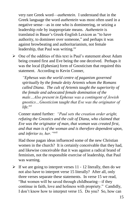very rare Greek word—*authentein.* I understand that in the Greek language the word *authentein* was most often used in a negative sense—as in one who is domineering, or seizing a leadership role by inappropriate means. *Authentein* is translated in Bauer's Greek-English Lexicon as "to have authority, to domineer over someone," and perhaps it was against browbeating and authoritarianism, not female leadership, that Paul was writing.<sup>xv</sup>

 $\triangleright$  One of the oddities of this text is Paul's statement about Adam being created first and Eve being the one deceived. Perhaps it was the local (Ephesian) form of Gnosticism that required this statement. According to Kevin Conner,

*"Ephesus was the world centre of paganism governed spiritually by the female deity Artemis whom the Romans called Diana. The cult of Artemis taught the superiority of the female and advocated female domination of the male…Also present in Ephesus was a contingent of Jewish gnostics…Gnosticism taught that Eve was the originator of life.xvi*

Conner stated further*: "Paul sets the creation order aright, refuting the Gnostics and the cult of Diana, who claimed that Eve was the originator of man, that woman was created first, and that man is of the woman and is therefore dependent upon, and inferior to, her."xvii*

Had those pagan ideas influenced some of the new Christian women in the church? It is certainly conceivable that they had, and likewise conceivable that it was against a radical brand of feminism, not the responsible exercise of leadership, that Paul was warning.

 $\triangleright$  If we are going to interpret verses 11 - 12 literally, then do we not also have to interpret verse 15 literally? After all, only three verses separate these statements. In verse 15 we read, "But women will be saved through childbearing—if they continue in faith, love and holiness with propriety." Candidly, I don't know how to interpret verse 15. Do you? So, how can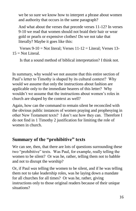we be so sure we know how to interpret a phrase about women and authority that occurs in the same paragraph?

And what about the verses that precede verses 11-12? In verses 9-10 we read that women should not braid their hair or wear gold or pearls or expensive clothes! Do we not take that literally? Maybe it goes like this:

Verses  $9-10 =$  Not literal; Verses  $11-12 =$  Literal; Verses 13- $15 = Not Literal.$ 

Is that a sound method of biblical interpretation? I think not.

In summary, why would we not assume that this entire section of Paul's letter to Timothy is shaped by its cultural context? Why would we assume that only the instructions about fashion are applicable only to the immediate hearers of this letter? Why wouldn't we assume that the instructions about women's roles in church are shaped by the context as well?

Again, how can the command to remain silent be reconciled with the obvious public instances of women praying and prophesying in other New Testament texts? I don't see how they can. Therefore I do not find in 1 Timothy 2 justification for limiting the role of women in church.

### **Summary of the "prohibitive" texts**

We can see, then, that there are lots of questions surrounding these two "prohibitive" texts. Was Paul, for example, really telling the women to be silent? Or was he, rather, telling them not to babble and not to disrupt the worship?

Or, if Paul *was* telling the women to be silent, and if he was telling them not to take leadership roles, was he laying down a mandate for all churches for all times? Or was he, rather, giving instructions only to those original readers because of their unique situations?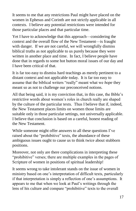It seems to me that any restrictions Paul might have placed on the women in Ephesus and Corinth are not strictly applicable in all contexts. I believe any potential restrictions were intended for those particular places and that particular time.

Yet I have to acknowledge that this approach—considering the context and the overall flow of the New Testament—is fraught with danger. If we are not careful, we will wrongfully dismiss biblical truths as not applicable to us purely because they were written in another place and time. In fact, I believe people have done that in regards to some hot button moral issues of our day and I have been critical of that.

It is far too easy to dismiss hard teachings as merely pertinent to a distant context and not applicable today. It is far too easy to assume that the biblical writers "really" meant what we *hope* they meant so as not to challenge our preconceived notions.

All that being said, it is my conviction that, in this case, the Bible's restrictive words about women's roles in church really are shaped by the culture of the particular texts. Thus I believe that if, indeed, the New Testament places limits on women those limits are suitable only in those particular settings, not universally applicable. I believe that conclusion is based on a careful, honest reading of the New Testament.

While someone might offer answers to all these questions I've raised about the "prohibitive" texts, the abundance of these ambiguous issues ought to cause us to think twice about stubborn positions.

Moreover, not only are there complications in interpreting these "prohibitive" verses; there are multiple examples in the pages of Scripture of women in positions of spiritual leadership!

It seems wrong to take intolerant stands on the issue of women in ministry based on one's interpretation of difficult texts, particularly if that interpretation is simply a reflection of one's assumptions. It appears to me that when we look at Paul's writings through the lens of his culture and compare "prohibitive" texts to the overall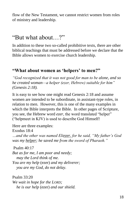flow of the New Testament, we cannot restrict women from roles of ministry and leadership.

## "But what about…?"

In addition to these two so-called prohibitive texts, there are other biblical teachings that must be addressed before we declare that the Bible allows women to exercise church leadership.

#### **"What about women as 'helpers' to men?"**

*"God recognized that it was not good for man to be alone, and so he created woman—a helper (ezer, Hebrew) suitable for him" (Genesis 2:18).* 

It is easy to see how one might read Genesis 2:18 and assume women are intended to be subordinate, in assistant-type roles, in relation to men. However, this is one of the many examples in which the Bible interprets the Bible. In other pages of Scripture, you see, the Hebrew word *ezer*, the word translated "helper" ("helpmeet in KJV) is used to describe God Himself!

Here are three examples: Exodus 18:4 *…and the other was named Eliezer, for he said, "My father's God was my helper; he saved me from the sword of Pharaoh."*

Psalm 40:17 *But as for me, I am poor and needy; may the Lord think of me. You are my help* (ezer) *and my deliverer; you are my God, do not delay.*

Psalm 33:20 *We wait in hope for the LORD; he is our help* (ezer) *and our shield.*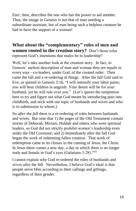*Ezer*, then, describes the one who has the power to aid another. Thus, the image in Genesis is not that of man needing a subordinate assistant, but of man being such a helpless creature he had to have the support of a woman!

#### **What about the "complementary" roles of men and women rooted in the creation story?** Don't those roles represent God's intentions that males be in leadership?

Well, let's take another look at the creation story. In fact, in Genesis' earliest description of man and woman they are equals in every way—co-leaders, under God, of the created order. Then came the fall and a re-ordering of things. After the fall God said to Eve, as quoted in Genesis 3:16, "I will intensify your labor pains; you will bear children in anguish. Your desire will be for your husband, yet he will rule over you." (Let's ignore the temptation here to try and figure out what God meant by introducing pain into childbirth, and stick with our topic of husbands and wives and who is in submission to whom.)

So *after the fall* there is a re-ordering of roles between husbands and wives. But note that 1) the pages of the Old Testament contain stories of Deborah, Miriam, Huldah and others who were spiritual leaders, so God did not strictly prohibit women's leadership even under the Old Covenant; and 2) Immediately after the fall God began the work of redeeming fallen creation. That work of redemption came to its climax in the coming of Jesus, the Christ. In Jesus there comes a new day, a day in which there is no longer male and female in God's eyes (Galatians 3:28).<sup>xviii</sup>

I cannot explain why God re-ordered the roles of husbands and wives after the fall. Nevertheless, I believe God's ideal is that people serve Him according to their callings and giftings, regardless of their gender.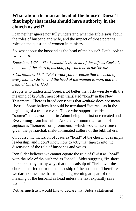### **What about the man as head of the house? Doesn't that imply that males should have authority in the church as well?**

I can neither ignore nor fully understand what the Bible says about the roles of husband and wife, and the impact of those potential roles on the question of women in ministry.

So, what about the husband as the head of the house? Let's look at two verses.

*Ephesians 5:23, "The husband is the head of the wife as Christ is the head of the church, his body, of which he is the Savior."*

*1 Corinthians 11:3, "But I want you to realize that the head of every man is Christ, and the head of the woman is man, and the head of Christ is God."*

People who understand Greek a lot better than I do wrestle with the meaning of *kephale*, most often translated "head" in the New Testament. There is broad consensus that *kephale* does not mean "boss." Some believe it should be translated "source," as in the beginning of a trail or river. Those who support the idea of "source" sometimes point to Adam being the first one created and Eve coming from his "rib." Another common translation of *kephale* is "honored" or "prominent," which would make sense given the patriarchal, male-dominated culture of the biblical era.

Of course the inclusion of Jesus as "head" of the church does imply leadership, and I don't know how exactly that figures into the discussion of the role of husbands and wives.

Ron Sider believes we cannot equate the role of Christ as "head" with the role of the husband as "head": Sider suggests, "In short, there are many, many ways that the headship of Christ over the church is different from the headship of the husband. Therefore, we dare not assume that ruling and governing are part of the meaning of the husband as head unless the text explicitly says that."xix

Yet, as much as I would like to declare that Sider's statement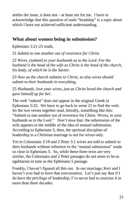settles the issue, it does not—at least not for me. I have to acknowledge that this question of male "headship" is a topic about which I have not achieved sufficient understanding.

### **What about women being in submission?**

Ephesians 5:21-25 reads,

21 *Submit to one another out of reverence for Christ.* 

22 *Wives, (submit) to your husbands as to the Lord. For the husband is the head of the wife as Christ is the head of the church, his body, of which he is the Savior.* 

23 *Now as the church submits to Christ, so also wives should submit to their husbands in everything.* 

25 *Husbands, love your wives, just as Christ loved the church and gave himself up for her.*

The verb "submit" does not appear in the original Greek in Ephesians 5:22. We have to go back to verse 21 to find the verb. So the two verses together read, literally, something like this: "Submit to one another out of reverence for Christ. Wives, to your husbands as to the Lord." Don't miss that: the submission of the wife appears in the middle of the idea of *mutual* submission. According to Ephesians 5, then, the spiritual discipline of leadership in a Christian marriage is not for wives only.

Yet in Colossians 3:18 and 2 Peter 3:1 wives are told to submit to their husbands without reference to the "mutual submission" made so clear in Ephesians 5. So, while these three texts are very similar, the Colossians and 2 Peter passages do not seem to be as egalitarian in tone as the Ephesians 5 passage.

Frankly, I haven't figured all this out. In our marriage, Keri and I haven't ever had to have that conversation. Let's just say that if I do have the privilege of leadership, I've never had to exercise it in more than three decades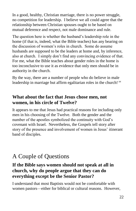In a good, healthy, Christian marriage, there is no power struggle, no competition for leadership. I believe we all could agree that the relationship between Christian spouses ought to be based on mutual deference and respect, not male dominance and rule.

The question here is whether the husband's leadership role in the home (if that is, indeed, what the Bible teaches) has any bearing on the discussion of women's roles in church. Some do assume husbands are supposed to be the leaders at home and, by inference, also at church. I simply don't find any convincing evidence of that. For me, what the Bible teaches about gender roles in the home is too inconclusive to use it as evidence that only men should be in authority in the church.

By the way, there are a number of people who do believe in male leadership in marriage but affirm egalitarian roles in the church! *xx*

### **What about the fact that Jesus chose men, not women, in his circle of Twelve?**

It appears to me that Jesus had practical reasons for including only men in his choosing of the Twelve. Both the gender and the number of the apostles symbolized the continuity with God's covenant with Israel. Nevertheless, the Gospels tell story after story of the presence and involvement of women in Jesus' itinerant band of disciples.

## A Couple of Questions

### **If the Bible says women should not speak at all in church, why do people argue that they can do everything except be the Senior Pastor?**

I understand that most Baptists would not be comfortable with women pastors—either for biblical or cultural reasons. However,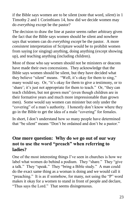if the Bible says women are to be silent (note that word, *silent*) in 1 Timothy 2 and 1 Corinthians 14, how did we decide women may do *everything* except be the pastor?

The decision to draw the line at pastor seems rather arbitrary given the fact that the Bible says women should be silent and nowhere says that women can do *everything except* be the pastor. A more *consistent* interpretation of Scripture would be to prohibit women from saying (or singing) anything, doing anything (except showing up), and teaching anything (including children).

Most of those who say women should not be ministers or deacons have made their own concessions. They acknowledge that the Bible says women should be silent, but they have decided what they believe "silent" means. "Well, it's okay for them to sing," many would say. Or, "it's okay for them to give a testimony, or to 'share'; it's just not appropriate for them to teach." Or, "they can teach children, but not grown men" (even though children are in their formative years and much more impressionable than grown men). Some would say women can minister but only under the "covering" of a man's authority. I honestly don't know where they go in the Bible to get the idea of a male "covering" for females.

In short, I don't understand how so many people have determined that "be silent" means "Don't be ordained and don't be a pastor."

### **One more question: Why do we go out of our way not to use the word "preach" when referring to ladies?**

One of the most interesting things I've seen in churches is how we label what women do behind a podium. They "share." They "give a talk." They "speak." They "bring a Bible study." A man could do the exact same thing as a woman is doing and we would call it "preaching." It is as if somehow, for many, not using the "P" word makes it okay for a women to stand in front of people and declare, "Thus says the Lord." That seems disingenuous.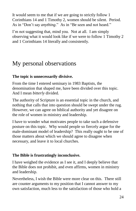It would seem to me that if we are going to strictly follow 1 Corinthians 14 and 1 Timothy 2, women should be silent. Period. As in "Don't say *anything*." As in "Be seen and not heard."

I'm not suggesting that, mind you. Not at all. I am simply observing what it would look like if we were to follow 1 Timothy 2 and 1 Corinthians 14 literally and consistently.

## My personal observations

#### **The topic is unnecessarily divisive.**

From the time I entered seminary in 1983 Baptists, the denomination that shaped me, have been divided over this topic. And I mean *bitterly* divided.

The authority of Scripture is an essential topic in the church, and nothing that calls that into question should be swept under the rug. However, we can agree on biblical authority and yet disagree on the role of women in ministry and leadership.

I have to wonder what motivates people to take such a defensive posture on this topic. Why would people so fiercely argue for the male-dominant model of leadership? This really ought to be one of those matters about which we should agree to disagree when necessary, and leave it to local churches.

#### **The Bible is frustratingly inconclusive.**

I have weighed the evidence as I see it, and I deeply believe that the Bible does not prohibit, and even affirms, women in ministry and leadership.

Nevertheless, I wish the Bible were more clear on this. There still are counter arguments to my position that I cannot answer to my own satisfaction, much less to the satisfaction of those who hold a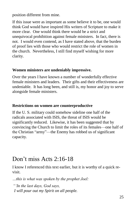position different from mine.

If this issue were as important as some believe it to be, one would think God would have inspired His writers of Scripture to make it more clear. One would think there would be a strict and unequivocal prohibition against female ministers. In fact, there is not. I would even contend, as I have stated above, that the burden of proof lies with those who would restrict the role of women in the church. Nevertheless, I still find myself wishing for more clarity.

#### **Women ministers are undeniably impressive.**

Over the years I have known a number of wonderfully effective female ministers and leaders. Their gifts and their effectiveness are undeniable. It has long been, and still is, my honor and joy to serve alongside female ministers.

#### **Restrictions on women are counterproductive**

If the U. S. military could somehow sideline one half of the radicals associated with ISIS, the threat of ISIS would be significantly reduced. Likewise, it has been suggested that by convincing the Church to limit the roles of its females—one half of the Christian "army"—the Enemy has robbed us of significant capacity.

## Don't miss Acts 2:16-18

I know I referenced this text earlier, but it is worthy of a quick revisit.

*…this is what was spoken by the prophet Joel:*

*"'In the last days, God says, I will pour out my Spirit on all people.*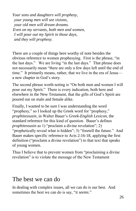*Your sons and daughters will prophesy, your young men will see visions, your old men will dream dreams. Even on my servants, both men and women, I will pour out my Spirit in those days, and they will prophesy.*

There are a couple of things here worthy of note besides the obvious reference to women prophesying. First is the phrase, "in the last days." We are living "in the last days." That phrase does not necessarily mean "there are only a few days left until the end of time." It primarily means, rather, that we live in the era of Jesus a new chapter in God's story.

The second phrase worth noting is "On both men and women I will pour out my Spirit." There is every indication, both here and elsewhere in the New Testament, that the gifts of God's Spirit are poured out on male and female alike.

Finally, I wanted to be sure I was understanding the word "prophesy," so I looked up the Greek word for "prophesy," *prophitessusin*, in Walter Bauer's *Greek-English Lexicon*, the standard reference for this kind of question. Bauer's defines *prophitessusin* as 1) "proclaim a divine revelation"; 2) "prophetically reveal what is hidden"; 3) "foretell the future." And Bauer makes specific reference to Acts 2:16-18, applying the first definition ("proclaim a divine revelation") to that text that speaks of young women.

Thus I believe that to prevent women from "proclaiming a divine revelation" is to violate the message of the New Testament

## The best we can do

In dealing with complex issues, all we can do is our best. And sometimes the best we can do is say, "it *seems*."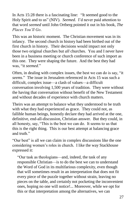In Acts 15:28 there is a fascinating line: "It seemed good to the Holy Spirit and to us" (NIV). *Seemed*. I'd never paid attention to that word *seemed* until John Ortberg pointed it out in his book, *The Places You'll Go*.

This was an historic moment. The Christian movement was in its infancy. The second church in history had been birthed out of the first church in history. Their decisions would impact not only those two original churches but *all* churches. You and I never have been in a business meeting or church conference of such import as this one. They were shaping the future. And the best they had was, "it *seemed*."

Often, in dealing with complex issues, the best we can do is say, "it *seems*." The issue in Jerusalem referenced in Acts 15 was such a difficult, complex issue—a clash of values—a difficult conversation involving 1,500 years of tradition. They were without the having that conversation without benefit of the New Testament and without decades of experience with church matters.

Theirs was an attempt to balance what they understood to be truth with what they had experienced as grace. They could not, as fallible human beings, honestly declare they had arrived at the one, definitive, end-all-discussion, Christian answer. But they could, in all honesty, say, "This is the best we can do. It seems to us that this is the right thing. This is our best attempt at balancing grace and truth."

"Our best" is all we can claim in complex discussions like the one considering women's roles in church. I like the way Stackhouse expressed it:

"Our task as theologians—and, indeed, the task of any responsible Christian—is to do the best we can to understand the Word of God in its multifarious complexity, even though that will sometimes result in an interpretation that does not fit every piece of the puzzle together without strain, leaving no pieces on the table, and certainly not pocketing the inconvenient ones, hoping no one will notice!... Moreover, while we opt for this or that interpretation among the alternatives, we can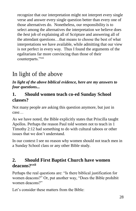recognize that our interpretation might not interpret every single verse and answer every single question better than every one of those alternatives do. Nonetheless, our responsibility is to select among the alternatives the interpretation we believe does the *best* job of explaining all of Scripture and answering all of the attendant questions…that means to choose the best of what interpretations we have available, while admitting that our view is not perfect in every way. Thus I found the arguments of the egalitarians far more convincing than those of their counterparts."xxi

# In light of the above

*In light of the above biblical evidence, here are my answers to four questions...*

### **1. Should women teach co-ed Sunday School classes?**

Not many people are asking this question anymore, but just in case…

As we have noted, the Bible explicitly states that Priscilla taught Apollos. Perhaps the reason Paul told women not to teach in 1 Timothy 2:12 had something to do with cultural taboos or other issues that we don't understand.

In our context I see no reason why women should not teach men in a Sunday School class or any other Bible study.

### **2. Should First Baptist Church have women deacons?xxii**

Perhaps the real questions are: "Is there biblical justification for women deacons?" Or, put another way, "Does the Bible prohibit women deacons?"

Let's consider these matters from the Bible: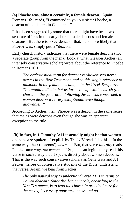**(a) Phoebe was, almost certainly, a female deacon.** Again, Romans 16:1 reads, "I commend to you our sister Phoebe, a deacon of the church in Cenchreae."

It has been suggested by some that there might have been two separate offices in the early church, male deacons and female deacons. But there is *no* evidence of that. It is more likely that Phoebe was, simply put, a "deacon."

Early church history indicates that there were female deacons (not a separate group from the men). Look at what Gleason Archer (an intensely conservative scholar) wrote about the reference to Phoebe in Romans 16:1:

*The ecclesiastical term for deaconess (diakonissa) never occurs in the New Testament, and so this single reference to diakonor in the feminine is unique in the Greek Scripture. This would indicate that as far as the apostolic church (the church in the generation following Jesus) was concerned, a woman deacon was very exceptional, even though allowable.* xxiii

According to Archer, then, Phoebe was a deacon in the same sense that males were deacons even though she was an apparent exception to the rule.

**(b) In fact, in 1 Timothy 3:11 it actually might be that women deacons are spoken of explicitly.** The NIV reads like this: "In the same way, their (deacons') *wives...."* But, that verse *literally* reads, "In the same way, *the women...."* So, one can legitimately read this verse in such a way that it speaks directly about women deacons. That is the way such conservative scholars as Gene Getz and J. I Packer, heroes of conservative students of the Bible, understand that verse. Again, we hear from Packer:

*The only natural way to understand verse 11 is in terms of women deacons. Since the deacon's role, according to the New Testament, is to lead the church in practical care for the needy, I see every appropriateness and no*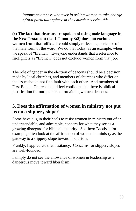*inappropriateness whatever in asking women to take charge of that particular sphere in the church's service.* <sup>xxiv</sup>

**(c) The fact that deacons are spoken of using male language in the New Testament (i.e. 1 Timothy 3:8) does not exclude women from that office.** It could simply reflect a generic use of the male form of the word. We do that today, as an example, when we speak of "firemen." Everyone understands that a reference to firefighters as "firemen" does not exclude women from that job.

The role of gender in the election of deacons should be a decision made by local churches, and members of churches who differ on the issue should not find fault with each other. And members of First Baptist Church should feel confident that there is biblical justification for our practice of ordaining women deacons.

### **3. Does the affirmation of women in ministry not put us on a slippery slope?**

Some have dug in their heels to resist women in ministry out of an understandable, and admirable, concern for what they see as a growing disregard for biblical authority. Southern Baptists, for example, often look at the affirmation of women in ministry as the gateway to a slippery slope toward liberalism.

Frankly, I appreciate that hesitancy. Concerns for slippery slopes are well-founded.

I simply do not see the allowance of women in leadership as a dangerous move toward liberalism.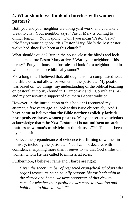### **4. What should we think of churches with women pastors?**

Both you and your neighbor are doing yard work, and you take a break to chat. Your neighbor says, "Pastor Mary is coming to dinner tonight." You respond, "Don't you mean 'Pastor Gary?" "No," says your neighbor, "It's Pastor Mary. She's the best pastor we've had since I've been at this church."

What should you do? Run in the house, close the blinds and lock the doors before Pastor Mary arrives? Warn your neighbor of his heresy? Put your house up for sale and look for a neighborhood in which people are more biblically sound?

For a long time I believed that, although this is a complicated issue, the Bible does not allow for women in the pastorate. My position was based on two things: my understanding of the biblical teaching on pastoral authority (found in 1 Timothy 2 and 1 Corinthians 14) and my conservative support of Southern Baptist tradition.

However, in the introduction of this booklet I recounted my attempt, a few years ago, to look at this issue objectively. And **I have come to believe that the Bible neither explicitly forbids nor openly endorses women pastors.** Many conservative scholars acknowledge that **"the New Testament is not uniform on such**  matters as women's ministries in the church."<sup>xxv</sup> That has been my conclusion.

I believe the preponderance of evidence is affirming of women in ministry, including the pastorate. Yet, I cannot declare, with confidence, anything more than *it seems to me* that God smiles on women whom He has called to ministerial roles.

Furthermore, I believe Frame and Tharpe are right:

*Given the sheer number of respected evangelical scholars who regard women as being equally responsible for leadership in the church and home, we urge opponents of this view to consider whether their position owes more to tradition and habit than to biblical truth.*xxvi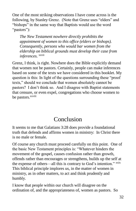One of the most striking observations I have come across is the following, by Stanley Grenz. (Note that Grenz uses "elders" and "bishops" in the same way that Baptists would use the word "pastors"):

*The New Testament nowhere directly prohibits the appointment of women to this office (elders or bishops). Consequently, persons who would bar women from the eldership on biblical grounds must develop their case from inferences.* <sup>xxvii</sup>

Grenz, I think, is right. Nowhere does the Bible explicitly demand that women not be pastors. Certainly, people can make inferences based on some of the texts we have considered in this booklet. My question is this: In light of the questions surrounding these "proof texts," should we conclude that women absolutely cannot be pastors? I don't think so. And I disagree with Baptist statements that censure, or even expel, congregations who choose women to be pastors.<sup>xxviii</sup>

## Conclusion

It seems to me that Galatians 3:28 does provide a foundational truth that defends and affirms women in ministry: In Christ there is no male or female.

Of course any church must proceed carefully on this point. One of the basic New Testament principles is: "Whatever hinders the movement of the gospel, causes confusion rather than growth, offends rather than encourages or strengthens, builds up the self at the expense of others—all this is contrary to God's intention." xxix This biblical principle implores us, in the matter of women in ministry, as in other matters, to act and think prudently and humbly.

I know that people within our church will disagree on the ordination of, and the appropriateness of, women as pastors. So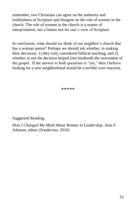remember, two Christians can agree on the authority and truthfulness of Scripture and disagree on the role of women in the church. The role of women in the church is a matter of *interpretation*, not a litmus test for one's view of Scripture.

In conclusion, what should we think of our neighbor's church that has a woman pastor? Perhaps we should ask whether, in making their decisions, 1) they truly considered biblical teaching; and 2) whether or not the decision helped (not hindered) the movement of the gospel. If the answer to both questions is "yes," then I believe looking for a new neighborhood would be a terrible over-reaction.

\*\*\*\*\*

#### Suggested Reading:

*How I Changed My Mind About Women in Leadership*, Alan F. Johnson, editor (Zondervan, 2010)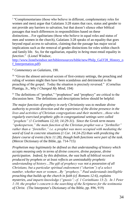<sup>i</sup> "Complementarians (those who believe in different, complementary roles for women and men) argue that Galatians 3:28 states that race, status and gender to not provide any barriers to salvation, but that doesn't silence other biblical passages that teach differences in responsibilities based on these distinctions…For egalitarians (those who believe in equal roles and status of men and women in the church), Galatians 3:28 speaks of an equality that goes beyond equal access to salvation, claiming that the passage has major social implications such as the removal of gender distinctions for roles within church and family life. So, for the egalitarian, equality in *being* must entail equality in *function*." (Lionel Windsor,

[http://www.lionelwindsor.net/bibleresources/bible/new/Philp\\_Gal3'28\\_History\\_o](http://www.lionelwindsor.net/bibleresources/bible/new/Philp_Gal3) f Interpretation.pdf)

ii *Commentary on Galatians*, 190.

 $\overline{a}$ 

iii "Given the almost universal sexism of first-century settings, the preaching and ruling of women might then have been scandalous and detrimental to the preaching of the gospel. Today the situation is precisely reversed." (Cornelius Plantiga, Jr., *Why I Changed My Mind*, 194)

iv The definitions of "prophet," "prophetess" and "prophecy" are critical to the discussion here. The definitions and descriptions below should be helpful:

*The major function of prophecy in early Christianity was to mediate divine authority to provide direction and the experience of the divine presence in the lives and activities of Christian congregations and their members…those who regularly exercised prophetic gifts in congregational settings were called "prophets" (1 Corinthians 12;10; 14:29-31). Since the Greek term means "spokesperson," the main function of the Christian prophet was a "forthteller"*  rather than a "foreteller," *i.e. a prophet was more occupied with mediating the word of God in concrete situations (1 Cor. 14:24-25) than with predicting the future course of events (Acts 11:28), though both functions were part of the task.*  (Mercer Dictionary of the Bible, pp. 714-715)

*Prophetism may legitimately be defined as that understanding of history which accepts meaning only in terms of divine concern, divine purpose, divine participation. Indeed, by this definition, the vast bulk of biblical record is produced by prophets or at least reflects an unmistakably prophetic understanding of history…The gift of prophecy was not a possession of all Christians, but a particular spiritual endowment ("charism") of a select number, whether men or women…By "prophecy," Paul understands intelligible preaching that builds up the church in faith (cf. Romans 12:6), explains mysteries, and imparts knowledge ("gnosis"; cf. 1 Corinthians 13:2). In 1 Peter 1:10, the prophet's concern is the searching of the Scriptures for the testimonia of Christ.* (The Interpreter's Dictionary of the Bible, pp. 896, 919)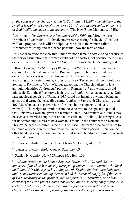*In the context of the church meeting (1 Corinthians 14:26ff.) the ministry of the prophet is spoken of as revelation (verse 30)…It is some perception of the truth of God intelligibly made to the assembly.* (The New Bible Dictionary, 1045).

 $\overline{a}$ 

According to *The Interpreter's Dictionary of the Bible* (p. 920), the term "prophetess" can refer to "a female interpreter speaking for the deity" or "the wife of a prophet," so it will be helpful as we look at the women called "prophetesses" to try and see (when possible) how the term applies.

<sup>v</sup> "Those who favor the view that Junia was not a female apostle do so because of their prior assumption that women could not be apostles, not because there is any evidence in the text." In *10 Lies the Church Tells Women*, J. Lee Grady, p. 41.

vi Kevin Conner, *The Ministry of Women*, 265-266, 307, 308: "Junia was a common Latin female name in the Roman Empire…There is absolutely no evidence that ever was a masculine name 'Junias' in the Roman Empire, according to Dr. Peter Lampe, Professor of New Testament, Union Theological Seminary, Richmond, VA: 'Without exception, the Church Fathers in late antiquity identified Andronicus' partner in Romans 16:7 as a woman, as did miniscule 33 in the 9<sup>th</sup> century which records *iounia* with an acute accent. Only later medieval copyists of Romans 16:7 could not imagine a woman being an apostle and wrote the masculine name, 'Junias.' (Same with Chyrsostom, died 407 AD, who had a negative view of women but recognized Junia as a woman)…The weight of opinion from those nearest to the apostolic period is that Junia was a woman, given the feminine name…Andronicus and Junius may be seen as a married couple, not unlike Priscilla and Aquila…The strongest case for understanding (Junia) to be a woman is found in the comments on Romans 16:7 by the earliest Church Fathers….The masculine form of the name is not to be found anywhere in the literature of the Greco-Roman period. Junia, on the other hand, was a quite common name, used several hundreds of times in records from that period."

vii In *Women, Authority & the Bible*, Alvera Mickelson, ed., p. 298.

viii James Brownson, *Bible, Gender, Sexuality*, 63

ix Stanley N. Gundry, *How I Changed My Mind*, 103

<sup>x</sup> *"…Pliny, writing to the Roman Emperor Trajan (AD 100), said the two ministers of the church in his city were young women. Justin Martyr, who lived until about AD 150, says in his dialogue with Trypho, the Jew, 'that both men and women were seen among them who had the extraordinary gifts of the Spirit of God, according as the prophet Joel had foretold.'…Tertullian, one of the earliest of the Latin fathers, notes that women appear in every early reference to ecclesiastical orders…In the catacombs are found representation of women clergy, and they are shown presiding over the Lord's Supper…It is worth*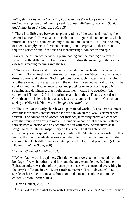*noting that it was in the Council of Laodicea that the role of women in ministry and leadership was eliminated.* (Kevin Conner, *[Ministry of Women: Gender](https://www.amazon.com/Ministry-Women-Gender-Authority-Church/dp/1629116785/ref=sr_1_13?s=books&ie=UTF8&qid=1488850026&sr=1-13&keywords=Kevin+Conner)  [and Authority in the Church](https://www.amazon.com/Ministry-Women-Gender-Authority-Church/dp/1629116785/ref=sr_1_13?s=books&ie=UTF8&qid=1488850026&sr=1-13&keywords=Kevin+Conner),* 360, 363)

<sup>xi</sup> There is a difference between a "plain reading of the text" and "reading the text in isolation." To read a text in isolation is to ignore the related texts which inform and shape our understanding of the text in question. The "plain reading" of a text is simply the self-evident meaning—an interpretation that does not require a series of qualifications and maneuverings, conjecture and spin.

Frankly, the difference between a plain reading and the reading of a text in isolation is the difference between exegesis (finding the meaning in the text) and eisegesis (reading meaning into the text).

<sup>xii</sup> "In ancient Greece and in Judaism women did not teach adult males, only children. Some Greek and Latin authors described how 'decent' women should dress, appear, and behave. Social opinions about such matters were changing, and these varied from area to area in the empire. It seemed natural for Paul to be cautious and not allow women to assume practices or roles, such as public speaking and dominance, that might bring their morals into question. The context in 1 Timothy 2:9-11 is a prime example of this. That is clear also in 1 Corinthians 11:1-10, which relates to ideas of shame and honor in Corinthian society." (Olive Liefeld, *How I Changed My Mind*, 135)

xiii The world of the early church was a patriarchal world. "Considerable unrest over these strictures characterizes the world in which the New Testament was written. The education of women, for instance, inevitably provoked conflict over their public and private roles. It is understandable that the New Testament reflects both a tension and an accommodation with these perspectives as it sought to articulate the gospel story of Jesus the Christ and chronicle Christianity's subsequent missionary activity in the Mediterranean world. In this matrix, the church made decisions about the role of women within the Christian community which still influence contemporary thinking and practice." (*Mercer Dictionary of the Bible*, 966)

#### xiv *How I Changed My Mind*, 203.

 $\overline{a}$ 

xv When Paul wrote his epistles, Christian women were being liberated from the bondage of Jewish tradition and law, and the only example they had in the Ephesian culture was that of the pagan priestesses who controlled everything in the temple of Diana in a wild, unrestrained manner. The "subjection" Paul speaks of here does not mean submission to the men but submission in the church. (Kevin Conner, 188)

xvi Kevin Conner, 203, 197

 $x<sub>vi</sub>$  it is hard to know what to do with 1 Timothy 2:13-14. (For Adam was formed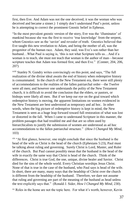first, then Eve. And Adam was not the one deceived; it was the woman who was deceived and became a sinner.) I simply don't understand Paul's point, unless he is attempting to correct the prominent Gnostic belief in Ephesus.

 $\overline{a}$ 

"In the most prevalent gnostic version of the story, Eve was the 'illuminator' of mankind because she was the first to receive 'true knowledge' from the serpent, whom Gnostics saw as the 'savior' and revealer of truth. Gnostics believed that Eve taught this new revelation to Adam, and being the mother of all, was the progenitor of the human race. Adam, they said, was Eve's son rather than her husband...What Paul is saying is, 'this is not what Scripture tells us...And if a woman is to teach, she must not teach that woman is the author of man—because scripture teaches that Adam was formed first, and then Eve." (Conner, 204, 206, 207)

xviii Stanley N. Gundry writes convincingly on this point, and says, "The full realization of the divine ideal awaits the end of history when redemptive history is consummated. In the church of the New Testament era, there were still plenty of accommodations to the realities of the fallen patriarchal order—the Twelve were all men; and however one understands the polity of the New Testament church, it is difficult to avoid the conclusion that the elders, or pastors, or bishops were likely all men. But if we keep our eye on the goal toward which redemptive history is moving, the apparent limitations on women evidenced in the New Testament are best understood as temporary and ad hoc. In other words, when the big picture of redemptive history is kept in mind, the New Testament is seen as a huge leap forward toward full restoration of what was lost or distorted in the fall. When I came to understand Scripture in this manner, the problem passages that had troubled me and that are so often used by hierarchicalists to justify the submission of women are understood as ad hoc accommodations to the fallen patriarchal structure." (*How I Changed My Mind*, 103)

xix "At first glance, however, one might conclude that since the husband is the head of the wife as Christ is the head of the church (Ephesians 5:23), Paul must be talking about ruling and governing. Surely Christ is Lord, Master, and Ruler of the church. But Paul cannot possibly mean that the husband is the head of the wife in exactly the same way that Christ is head of the church. Think of the differences. Christ is true God, the one, unique, divine healer and Savior. Christ died for the sins of the whole world. Every Christian worships Jesus Christ. None of that is true in the case of the husband, who Paul says is head of the wife. In short, there are many, many ways that the headship of Christ over the church is different from the headship of the husband. Therefore, we dare not assume that ruling and governing are part of the meaning of the husband as head unless the text explicitly says that." (Ronald J. Sider, *How I Changed My Mind*, 230).

xx Roles in the home are not the topic here. For what it's worth, however, Kevin